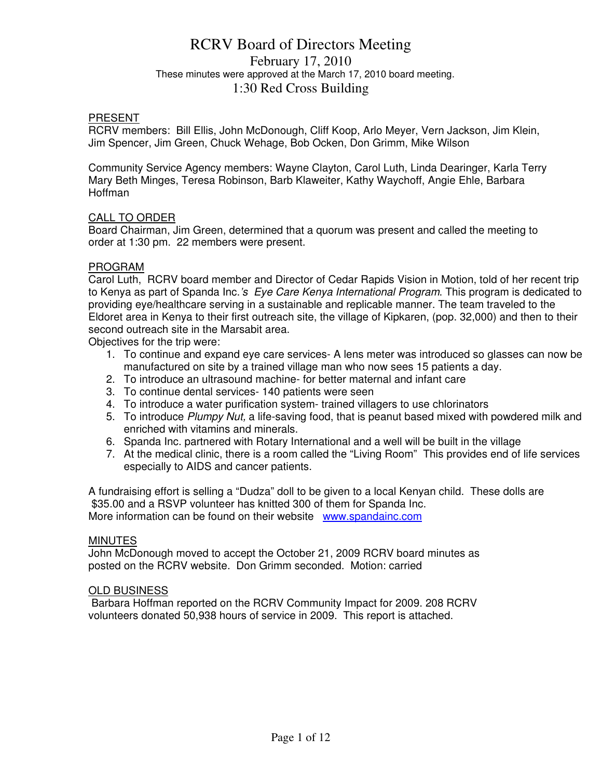# RCRV Board of Directors Meeting February 17, 2010 These minutes were approved at the March 17, 2010 board meeting. 1:30 Red Cross Building

#### PRESENT

RCRV members: Bill Ellis, John McDonough, Cliff Koop, Arlo Meyer, Vern Jackson, Jim Klein, Jim Spencer, Jim Green, Chuck Wehage, Bob Ocken, Don Grimm, Mike Wilson

Community Service Agency members: Wayne Clayton, Carol Luth, Linda Dearinger, Karla Terry Mary Beth Minges, Teresa Robinson, Barb Klaweiter, Kathy Waychoff, Angie Ehle, Barbara Hoffman

### CALL TO ORDER

Board Chairman, Jim Green, determined that a quorum was present and called the meeting to order at 1:30 pm. 22 members were present.

### PROGRAM

Carol Luth, RCRV board member and Director of Cedar Rapids Vision in Motion, told of her recent trip to Kenya as part of Spanda Inc.'s Eye Care Kenya International Program. This program is dedicated to providing eye/healthcare serving in a sustainable and replicable manner. The team traveled to the Eldoret area in Kenya to their first outreach site, the village of Kipkaren, (pop. 32,000) and then to their second outreach site in the Marsabit area.

Objectives for the trip were:

- 1. To continue and expand eye care services- A lens meter was introduced so glasses can now be manufactured on site by a trained village man who now sees 15 patients a day.
- 2. To introduce an ultrasound machine- for better maternal and infant care
- 3. To continue dental services- 140 patients were seen
- 4. To introduce a water purification system- trained villagers to use chlorinators
- 5. To introduce Plumpy Nut, a life-saving food, that is peanut based mixed with powdered milk and enriched with vitamins and minerals.
- 6. Spanda Inc. partnered with Rotary International and a well will be built in the village
- 7. At the medical clinic, there is a room called the "Living Room" This provides end of life services especially to AIDS and cancer patients.

A fundraising effort is selling a "Dudza" doll to be given to a local Kenyan child. These dolls are \$35.00 and a RSVP volunteer has knitted 300 of them for Spanda Inc. More information can be found on their website www.spandainc.com

#### MINUTES

John McDonough moved to accept the October 21, 2009 RCRV board minutes as posted on the RCRV website. Don Grimm seconded. Motion: carried

#### OLD BUSINESS

 Barbara Hoffman reported on the RCRV Community Impact for 2009. 208 RCRV volunteers donated 50,938 hours of service in 2009. This report is attached.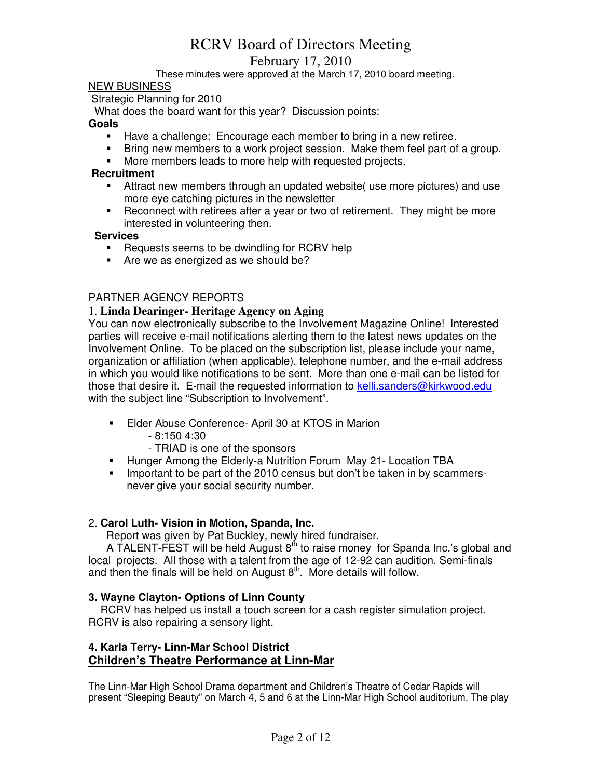# February 17, 2010

These minutes were approved at the March 17, 2010 board meeting.

#### NEW BUSINESS

Strategic Planning for 2010

What does the board want for this year? Discussion points:

#### **Goals**

- **Have a challenge: Encourage each member to bring in a new retiree.**
- Bring new members to a work project session. Make them feel part of a group.
- More members leads to more help with requested projects.

## **Recruitment**

- Attract new members through an updated website( use more pictures) and use more eye catching pictures in the newsletter
- **-** Reconnect with retirees after a year or two of retirement. They might be more interested in volunteering then.

#### **Services**

- **Requests seems to be dwindling for RCRV help**
- Are we as energized as we should be?

### PARTNER AGENCY REPORTS

### 1. **Linda Dearinger- Heritage Agency on Aging**

You can now electronically subscribe to the Involvement Magazine Online! Interested parties will receive e-mail notifications alerting them to the latest news updates on the Involvement Online. To be placed on the subscription list, please include your name, organization or affiliation (when applicable), telephone number, and the e-mail address in which you would like notifications to be sent. More than one e-mail can be listed for those that desire it. E-mail the requested information to kelli.sanders@kirkwood.edu with the subject line "Subscription to Involvement".

- Elder Abuse Conference- April 30 at KTOS in Marion
	- 8:150 4:30
	- TRIAD is one of the sponsors
- Hunger Among the Elderly-a Nutrition Forum May 21- Location TBA
- Important to be part of the 2010 census but don't be taken in by scammersnever give your social security number.

#### 2. **Carol Luth- Vision in Motion, Spanda, Inc.**

Report was given by Pat Buckley, newly hired fundraiser.

A TALENT-FEST will be held August  $8<sup>th</sup>$  to raise money for Spanda Inc.'s global and local projects. All those with a talent from the age of 12-92 can audition. Semi-finals and then the finals will be held on August  $8<sup>th</sup>$ . More details will follow.

#### **3. Wayne Clayton- Options of Linn County**

 RCRV has helped us install a touch screen for a cash register simulation project. RCRV is also repairing a sensory light.

## **4. Karla Terry- Linn-Mar School District Children's Theatre Performance at Linn-Mar**

The Linn-Mar High School Drama department and Children's Theatre of Cedar Rapids will present "Sleeping Beauty" on March 4, 5 and 6 at the Linn-Mar High School auditorium. The play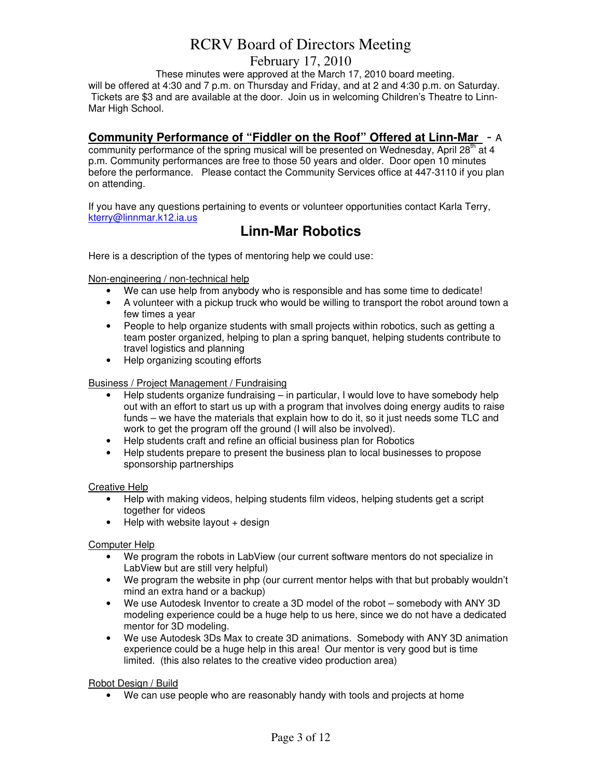# February 17, 2010

These minutes were approved at the March 17, 2010 board meeting. will be offered at 4:30 and 7 p.m. on Thursday and Friday, and at 2 and 4:30 p.m. on Saturday. Tickets are \$3 and are available at the door. Join us in welcoming Children's Theatre to Linn-Mar High School.

# **Community Performance of "Fiddler on the Roof" Offered at Linn-Mar** - A

community performance of the spring musical will be presented on Wednesday, April 28<sup>th</sup> at 4 p.m. Community performances are free to those 50 years and older. Door open 10 minutes before the performance. Please contact the Community Services office at 447-3110 if you plan on attending.

If you have any questions pertaining to events or volunteer opportunities contact Karla Terry, kterry@linnmar.k12.ia.us

# **Linn-Mar Robotics**

Here is a description of the types of mentoring help we could use:

Non-engineering / non-technical help

- We can use help from anybody who is responsible and has some time to dedicate!
- A volunteer with a pickup truck who would be willing to transport the robot around town a few times a year
- People to help organize students with small projects within robotics, such as getting a team poster organized, helping to plan a spring banquet, helping students contribute to travel logistics and planning
- Help organizing scouting efforts

#### Business / Project Management / Fundraising

- Help students organize fundraising in particular, I would love to have somebody help out with an effort to start us up with a program that involves doing energy audits to raise funds – we have the materials that explain how to do it, so it just needs some TLC and work to get the program off the ground (I will also be involved).
- Help students craft and refine an official business plan for Robotics
- Help students prepare to present the business plan to local businesses to propose sponsorship partnerships

Creative Help

- Help with making videos, helping students film videos, helping students get a script together for videos
- $\bullet$  Help with website layout  $+$  design

#### Computer Help

- We program the robots in LabView (our current software mentors do not specialize in LabView but are still very helpful)
- We program the website in php (our current mentor helps with that but probably wouldn't mind an extra hand or a backup)
- We use Autodesk Inventor to create a 3D model of the robot somebody with ANY 3D modeling experience could be a huge help to us here, since we do not have a dedicated mentor for 3D modeling.
- We use Autodesk 3Ds Max to create 3D animations. Somebody with ANY 3D animation experience could be a huge help in this area! Our mentor is very good but is time limited. (this also relates to the creative video production area)

Robot Design / Build

• We can use people who are reasonably handy with tools and projects at home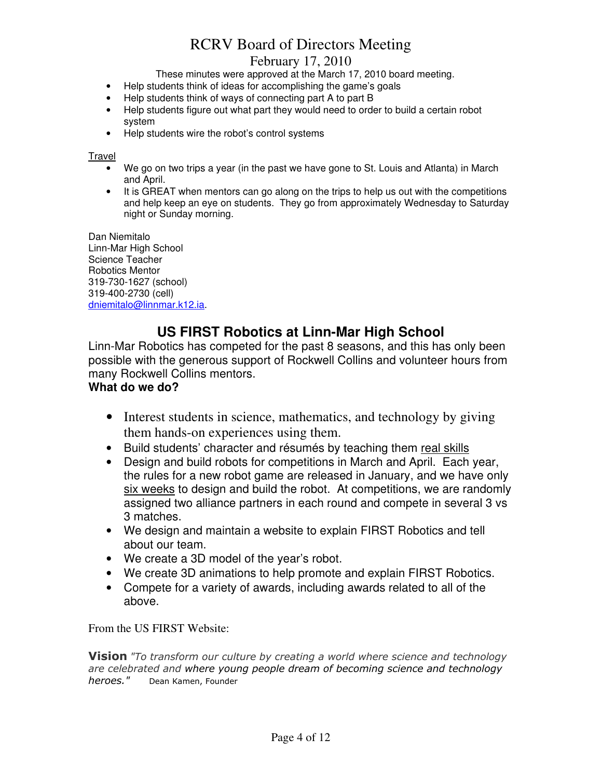# February 17, 2010

These minutes were approved at the March 17, 2010 board meeting.

- Help students think of ideas for accomplishing the game's goals
- Help students think of ways of connecting part A to part B
- Help students figure out what part they would need to order to build a certain robot system
- Help students wire the robot's control systems

Travel

- We go on two trips a year (in the past we have gone to St. Louis and Atlanta) in March and April.
- It is GREAT when mentors can go along on the trips to help us out with the competitions and help keep an eye on students. They go from approximately Wednesday to Saturday night or Sunday morning.

Dan Niemitalo Linn-Mar High School Science Teacher Robotics Mentor 319-730-1627 (school) 319-400-2730 (cell) dniemitalo@linnmar.k12.ia.

# **US FIRST Robotics at Linn-Mar High School**

Linn-Mar Robotics has competed for the past 8 seasons, and this has only been possible with the generous support of Rockwell Collins and volunteer hours from many Rockwell Collins mentors.

# **What do we do?**

- Interest students in science, mathematics, and technology by giving them hands-on experiences using them.
- Build students' character and résumés by teaching them real skills
- Design and build robots for competitions in March and April. Each year, the rules for a new robot game are released in January, and we have only six weeks to design and build the robot. At competitions, we are randomly assigned two alliance partners in each round and compete in several 3 vs 3 matches.
- We design and maintain a website to explain FIRST Robotics and tell about our team.
- We create a 3D model of the year's robot.
- We create 3D animations to help promote and explain FIRST Robotics.
- Compete for a variety of awards, including awards related to all of the above.

From the US FIRST Website:

**Vision** *"To transform our culture by creating a world where science and technology are celebrated and where young people dream of becoming science and technology heroes."* Dean Kamen, Founder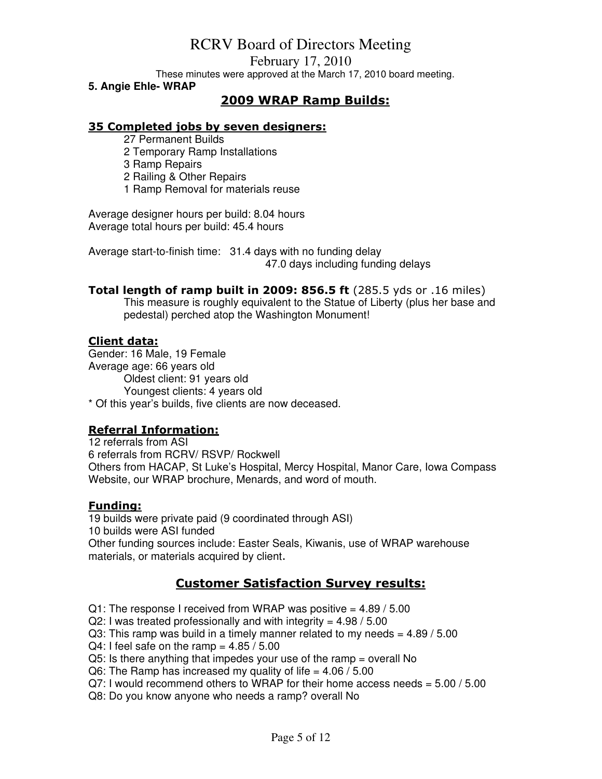February 17, 2010

These minutes were approved at the March 17, 2010 board meeting.

**5. Angie Ehle- WRAP** 

# **2009 WRAP Ramp Builds:**

## **35 Completed jobs by seven designers:**

27 Permanent Builds

2 Temporary Ramp Installations

3 Ramp Repairs

2 Railing & Other Repairs

1 Ramp Removal for materials reuse

Average designer hours per build: 8.04 hours Average total hours per build: 45.4 hours

Average start-to-finish time: 31.4 days with no funding delay 47.0 days including funding delays

**Total length of ramp built in 2009: 856.5 ft** (285.5 yds or .16 miles) This measure is roughly equivalent to the Statue of Liberty (plus her base and pedestal) perched atop the Washington Monument!

## **Client data:**

Gender: 16 Male, 19 Female Average age: 66 years old Oldest client: 91 years old Youngest clients: 4 years old \* Of this year's builds, five clients are now deceased.

# **Referral Information:**

12 referrals from ASI 6 referrals from RCRV/ RSVP/ Rockwell Others from HACAP, St Luke's Hospital, Mercy Hospital, Manor Care, Iowa Compass Website, our WRAP brochure, Menards, and word of mouth.

## **Funding:**

19 builds were private paid (9 coordinated through ASI) 10 builds were ASI funded Other funding sources include: Easter Seals, Kiwanis, use of WRAP warehouse materials, or materials acquired by client.

# **Customer Satisfaction Survey results:**

 $Q1$ : The response I received from WRAP was positive =  $4.89 / 5.00$  $Q2$ : I was treated professionally and with integrity = 4.98 / 5.00  $Q3$ : This ramp was build in a timely manner related to my needs =  $4.89 / 5.00$  $Q4$ : I feel safe on the ramp =  $4.85 / 5.00$ Q5: Is there anything that impedes your use of the ramp = overall No Q6: The Ramp has increased my quality of life  $=$  4.06 / 5.00  $Q7: I$  would recommend others to WRAP for their home access needs = 5.00 / 5.00

Q8: Do you know anyone who needs a ramp? overall No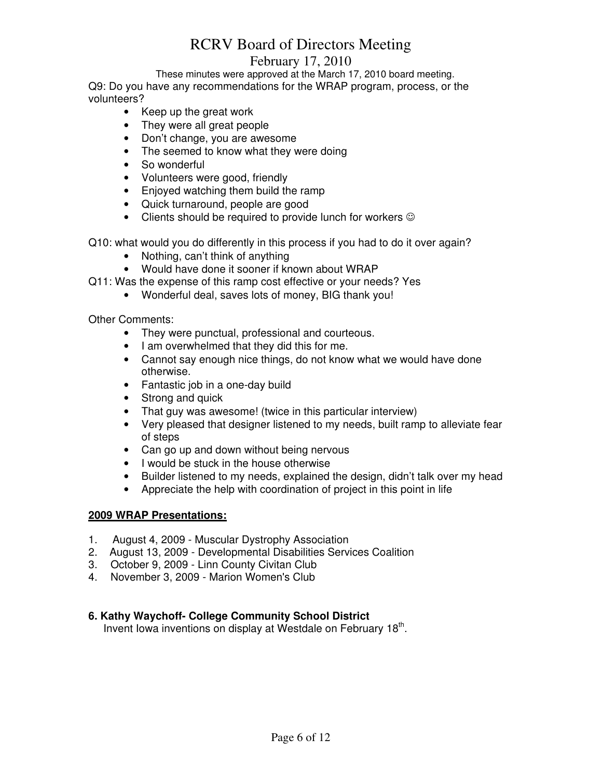# February 17, 2010

These minutes were approved at the March 17, 2010 board meeting. Q9: Do you have any recommendations for the WRAP program, process, or the

volunteers?

- Keep up the great work
- They were all great people
- Don't change, you are awesome
- The seemed to know what they were doing
- So wonderful
- Volunteers were good, friendly
- Enjoyed watching them build the ramp
- Quick turnaround, people are good
- Clients should be required to provide lunch for workers  $\odot$

Q10: what would you do differently in this process if you had to do it over again?

- Nothing, can't think of anything
- Would have done it sooner if known about WRAP
- Q11: Was the expense of this ramp cost effective or your needs? Yes
	- Wonderful deal, saves lots of money, BIG thank you!

Other Comments:

- They were punctual, professional and courteous.
- I am overwhelmed that they did this for me.
- Cannot say enough nice things, do not know what we would have done otherwise.
- Fantastic job in a one-day build
- Strong and quick
- That guy was awesome! (twice in this particular interview)
- Very pleased that designer listened to my needs, built ramp to alleviate fear of steps
- Can go up and down without being nervous
- I would be stuck in the house otherwise
- Builder listened to my needs, explained the design, didn't talk over my head
- Appreciate the help with coordination of project in this point in life

# **2009 WRAP Presentations:**

- 1. August 4, 2009 Muscular Dystrophy Association
- 2. August 13, 2009 Developmental Disabilities Services Coalition
- 3. October 9, 2009 Linn County Civitan Club
- 4. November 3, 2009 Marion Women's Club

# **6. Kathy Waychoff- College Community School District**

Invent lowa inventions on display at Westdale on February 18<sup>th</sup>.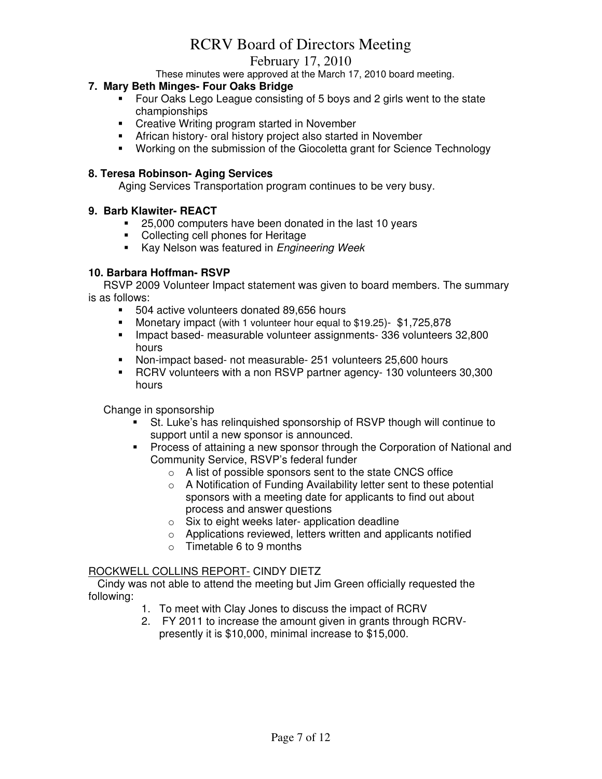# February 17, 2010

These minutes were approved at the March 17, 2010 board meeting.

### **7. Mary Beth Minges- Four Oaks Bridge**

- Four Oaks Lego League consisting of 5 boys and 2 girls went to the state championships
- **EXECT:** Creative Writing program started in November
- African history- oral history project also started in November
- Working on the submission of the Giocoletta grant for Science Technology

## **8. Teresa Robinson- Aging Services**

Aging Services Transportation program continues to be very busy.

### **9. Barb Klawiter- REACT**

- 25,000 computers have been donated in the last 10 years
- Collecting cell phones for Heritage
- Kay Nelson was featured in Engineering Week

### **10. Barbara Hoffman- RSVP**

 RSVP 2009 Volunteer Impact statement was given to board members. The summary is as follows:

- 504 active volunteers donated 89,656 hours
- Monetary impact (with 1 volunteer hour equal to \$19.25)- \$1,725,878
- **Impact based- measurable volunteer assignments- 336 volunteers 32,800** hours
- Non-impact based- not measurable- 251 volunteers 25,600 hours
- RCRV volunteers with a non RSVP partner agency- 130 volunteers 30,300 hours

Change in sponsorship

- St. Luke's has relinquished sponsorship of RSVP though will continue to support until a new sponsor is announced.
- Process of attaining a new sponsor through the Corporation of National and Community Service, RSVP's federal funder
	- o A list of possible sponsors sent to the state CNCS office
	- o A Notification of Funding Availability letter sent to these potential sponsors with a meeting date for applicants to find out about process and answer questions
	- $\circ$  Six to eight weeks later- application deadline
	- o Applications reviewed, letters written and applicants notified
	- $\circ$  Timetable 6 to 9 months

## ROCKWELL COLLINS REPORT- CINDY DIETZ

 Cindy was not able to attend the meeting but Jim Green officially requested the following:

- 1. To meet with Clay Jones to discuss the impact of RCRV
- 2. FY 2011 to increase the amount given in grants through RCRVpresently it is \$10,000, minimal increase to \$15,000.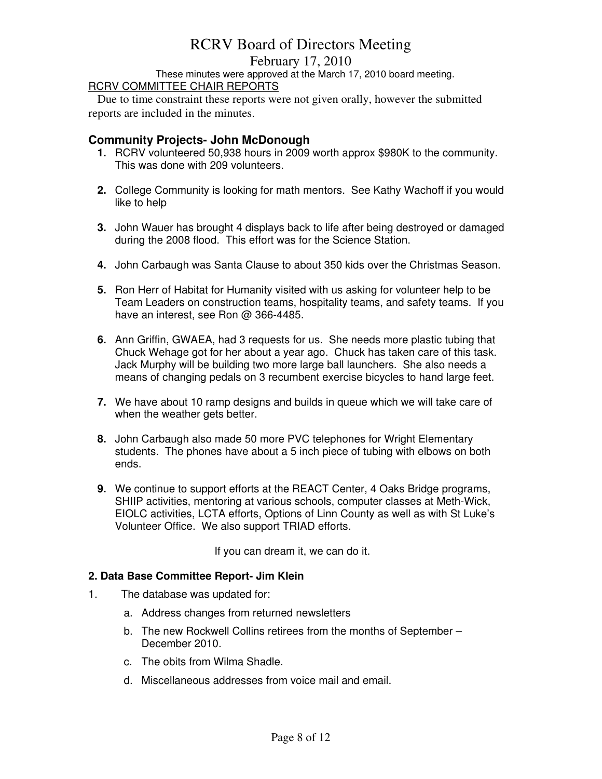# February 17, 2010

These minutes were approved at the March 17, 2010 board meeting. RCRV COMMITTEE CHAIR REPORTS

 Due to time constraint these reports were not given orally, however the submitted reports are included in the minutes.

# **Community Projects- John McDonough**

- **1.** RCRV volunteered 50,938 hours in 2009 worth approx \$980K to the community. This was done with 209 volunteers.
- **2.** College Community is looking for math mentors. See Kathy Wachoff if you would like to help
- **3.** John Wauer has brought 4 displays back to life after being destroyed or damaged during the 2008 flood. This effort was for the Science Station.
- **4.** John Carbaugh was Santa Clause to about 350 kids over the Christmas Season.
- **5.** Ron Herr of Habitat for Humanity visited with us asking for volunteer help to be Team Leaders on construction teams, hospitality teams, and safety teams. If you have an interest, see Ron @ 366-4485.
- **6.** Ann Griffin, GWAEA, had 3 requests for us. She needs more plastic tubing that Chuck Wehage got for her about a year ago. Chuck has taken care of this task. Jack Murphy will be building two more large ball launchers. She also needs a means of changing pedals on 3 recumbent exercise bicycles to hand large feet.
- **7.** We have about 10 ramp designs and builds in queue which we will take care of when the weather gets better.
- **8.** John Carbaugh also made 50 more PVC telephones for Wright Elementary students. The phones have about a 5 inch piece of tubing with elbows on both ends.
- **9.** We continue to support efforts at the REACT Center, 4 Oaks Bridge programs, SHIIP activities, mentoring at various schools, computer classes at Meth-Wick, EIOLC activities, LCTA efforts, Options of Linn County as well as with St Luke's Volunteer Office. We also support TRIAD efforts.

If you can dream it, we can do it.

## **2. Data Base Committee Report- Jim Klein**

- 1. The database was updated for:
	- a. Address changes from returned newsletters
	- b. The new Rockwell Collins retirees from the months of September December 2010.
	- c. The obits from Wilma Shadle.
	- d. Miscellaneous addresses from voice mail and email.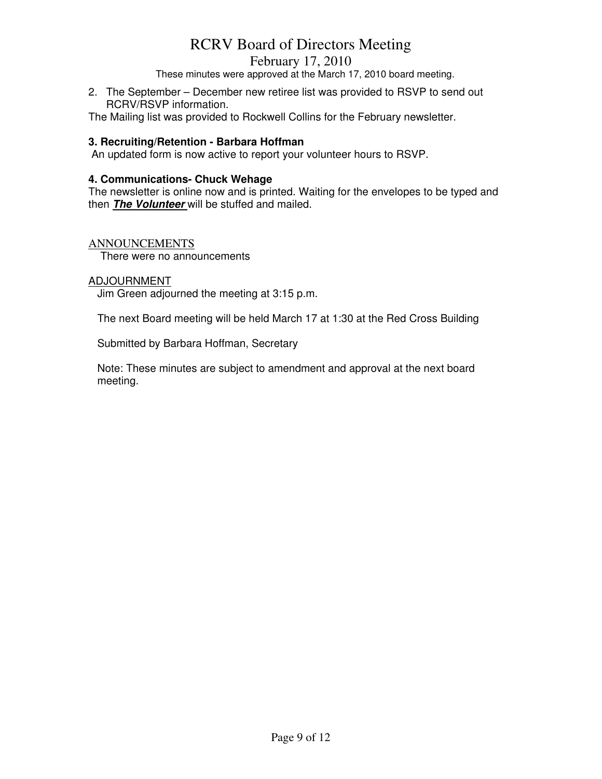# February 17, 2010

These minutes were approved at the March 17, 2010 board meeting.

2. The September – December new retiree list was provided to RSVP to send out RCRV/RSVP information.

The Mailing list was provided to Rockwell Collins for the February newsletter.

### **3. Recruiting/Retention - Barbara Hoffman**

An updated form is now active to report your volunteer hours to RSVP.

#### **4. Communications- Chuck Wehage**

The newsletter is online now and is printed. Waiting for the envelopes to be typed and then **The Volunteer** will be stuffed and mailed.

### ANNOUNCEMENTS

There were no announcements

### ADJOURNMENT

Jim Green adjourned the meeting at 3:15 p.m.

The next Board meeting will be held March 17 at 1:30 at the Red Cross Building

Submitted by Barbara Hoffman, Secretary

Note: These minutes are subject to amendment and approval at the next board meeting.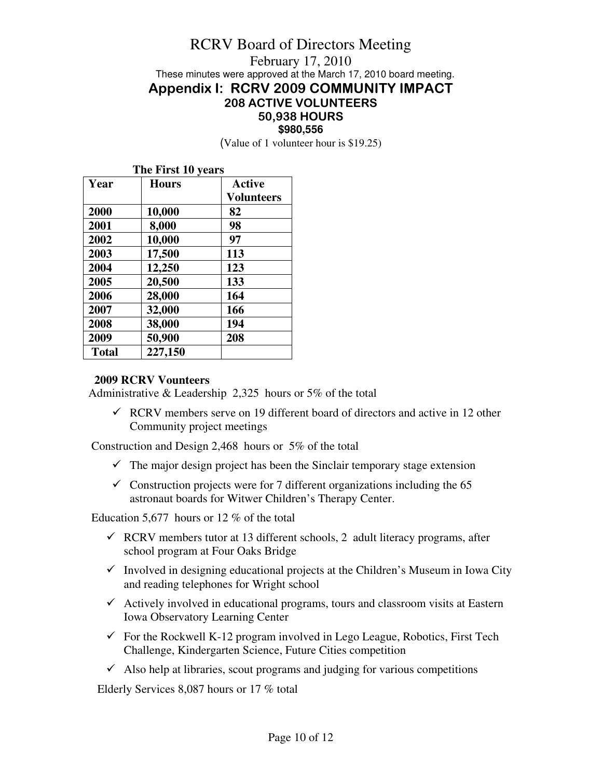# RCRV Board of Directors Meeting February 17, 2010 These minutes were approved at the March 17, 2010 board meeting. **Appendix I: RCRV 2009 COMMUNITY IMPACT 208 ACTIVE VOLUNTEERS 50,938 HOURS \$980,556**

(Value of 1 volunteer hour is \$19.25)

| The First 10 years |              |                   |
|--------------------|--------------|-------------------|
| Year               | <b>Hours</b> | <b>Active</b>     |
|                    |              | <b>Volunteers</b> |
| 2000               | 10,000       | 82                |
| 2001               | 8,000        | 98                |
| 2002               | 10,000       | 97                |
| 2003               | 17,500       | 113               |
| 2004               | 12,250       | 123               |
| 2005               | 20,500       | 133               |
| 2006               | 28,000       | 164               |
| 2007               | 32,000       | 166               |
| 2008               | 38,000       | 194               |
| 2009               | 50,900       | 208               |
| <b>Total</b>       | 227,150      |                   |

# **2009 RCRV Vounteers**

Administrative & Leadership 2,325 hours or 5% of the total

 $\checkmark$  RCRV members serve on 19 different board of directors and active in 12 other Community project meetings

Construction and Design 2,468 hours or 5% of the total

- $\checkmark$  The major design project has been the Sinclair temporary stage extension
- $\checkmark$  Construction projects were for 7 different organizations including the 65 astronaut boards for Witwer Children's Therapy Center.

Education 5,677 hours or 12 % of the total

- $\checkmark$  RCRV members tutor at 13 different schools, 2 adult literacy programs, after school program at Four Oaks Bridge
- $\checkmark$  Involved in designing educational projects at the Children's Museum in Iowa City and reading telephones for Wright school
- $\checkmark$  Actively involved in educational programs, tours and classroom visits at Eastern Iowa Observatory Learning Center
- $\checkmark$  For the Rockwell K-12 program involved in Lego League, Robotics, First Tech Challenge, Kindergarten Science, Future Cities competition
- $\checkmark$  Also help at libraries, scout programs and judging for various competitions

Elderly Services 8,087 hours or 17 % total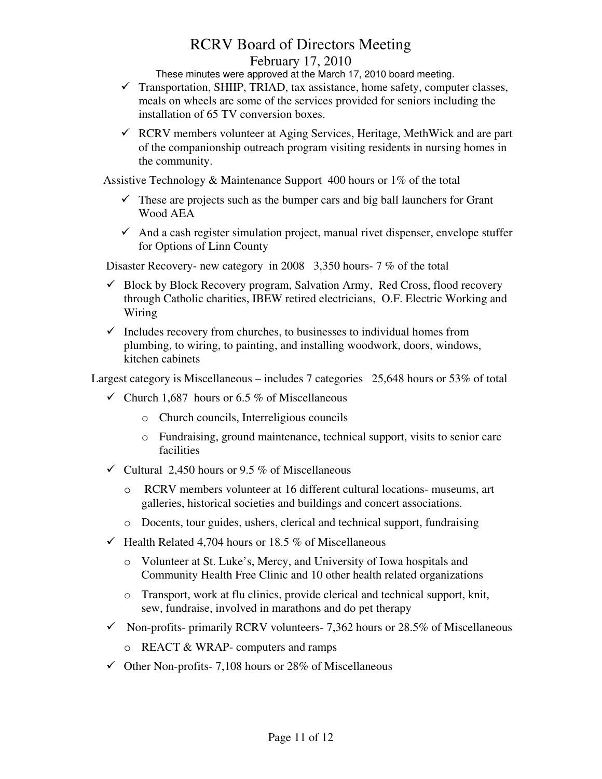# RCRV Board of Directors Meeting February 17, 2010

These minutes were approved at the March 17, 2010 board meeting.

- $\checkmark$  Transportation, SHIIP, TRIAD, tax assistance, home safety, computer classes, meals on wheels are some of the services provided for seniors including the installation of 65 TV conversion boxes.
- $\checkmark$  RCRV members volunteer at Aging Services, Heritage, MethWick and are part of the companionship outreach program visiting residents in nursing homes in the community.

Assistive Technology & Maintenance Support 400 hours or 1% of the total

- $\checkmark$  These are projects such as the bumper cars and big ball launchers for Grant Wood AEA
- $\checkmark$  And a cash register simulation project, manual rivet dispenser, envelope stuffer for Options of Linn County

Disaster Recovery- new category in 2008 3,350 hours- 7 % of the total

- $\checkmark$  Block by Block Recovery program, Salvation Army, Red Cross, flood recovery through Catholic charities, IBEW retired electricians, O.F. Electric Working and Wiring
- $\checkmark$  Includes recovery from churches, to businesses to individual homes from plumbing, to wiring, to painting, and installing woodwork, doors, windows, kitchen cabinets

Largest category is Miscellaneous – includes 7 categories 25,648 hours or 53% of total

- $\checkmark$  Church 1,687 hours or 6.5 % of Miscellaneous
	- o Church councils, Interreligious councils
	- o Fundraising, ground maintenance, technical support, visits to senior care facilities
- $\checkmark$  Cultural 2.450 hours or 9.5 % of Miscellaneous
	- o RCRV members volunteer at 16 different cultural locations- museums, art galleries, historical societies and buildings and concert associations.
	- o Docents, tour guides, ushers, clerical and technical support, fundraising
- $\checkmark$  Health Related 4,704 hours or 18.5 % of Miscellaneous
	- o Volunteer at St. Luke's, Mercy, and University of Iowa hospitals and Community Health Free Clinic and 10 other health related organizations
	- o Transport, work at flu clinics, provide clerical and technical support, knit, sew, fundraise, involved in marathons and do pet therapy
- $\checkmark$  Non-profits- primarily RCRV volunteers- 7,362 hours or 28.5% of Miscellaneous
	- o REACT & WRAP- computers and ramps
- $\checkmark$  Other Non-profits- 7,108 hours or 28% of Miscellaneous